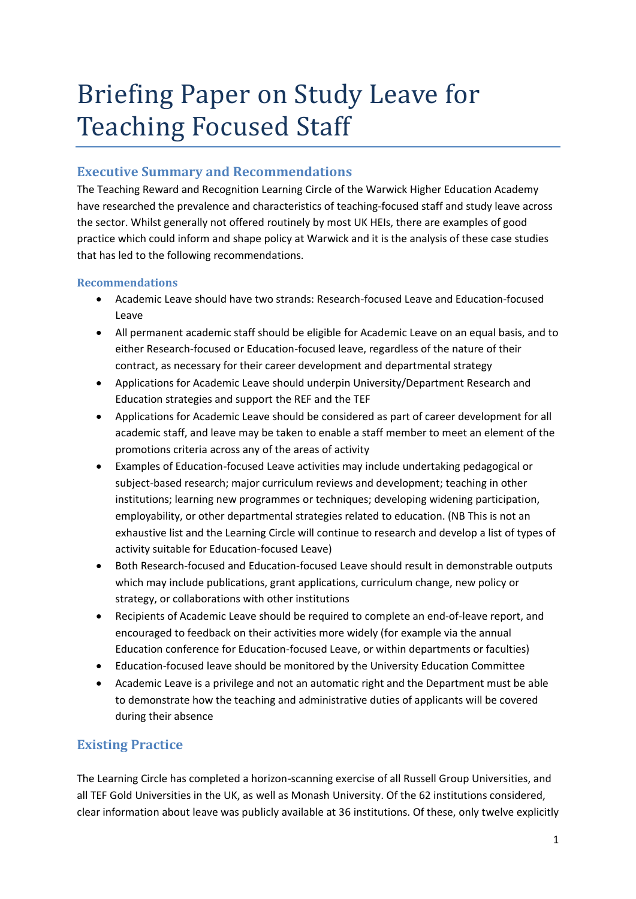# Briefing Paper on Study Leave for Teaching Focused Staff

# **Executive Summary and Recommendations**

The Teaching Reward and Recognition Learning Circle of the Warwick Higher Education Academy have researched the prevalence and characteristics of teaching-focused staff and study leave across the sector. Whilst generally not offered routinely by most UK HEIs, there are examples of good practice which could inform and shape policy at Warwick and it is the analysis of these case studies that has led to the following recommendations.

## **Recommendations**

- Academic Leave should have two strands: Research-focused Leave and Education-focused Leave
- All permanent academic staff should be eligible for Academic Leave on an equal basis, and to either Research-focused or Education-focused leave, regardless of the nature of their contract, as necessary for their career development and departmental strategy
- Applications for Academic Leave should underpin University/Department Research and Education strategies and support the REF and the TEF
- Applications for Academic Leave should be considered as part of career development for all academic staff, and leave may be taken to enable a staff member to meet an element of the promotions criteria across any of the areas of activity
- Examples of Education-focused Leave activities may include undertaking pedagogical or subject-based research; major curriculum reviews and development; teaching in other institutions; learning new programmes or techniques; developing widening participation, employability, or other departmental strategies related to education. (NB This is not an exhaustive list and the Learning Circle will continue to research and develop a list of types of activity suitable for Education-focused Leave)
- Both Research-focused and Education-focused Leave should result in demonstrable outputs which may include publications, grant applications, curriculum change, new policy or strategy, or collaborations with other institutions
- Recipients of Academic Leave should be required to complete an end-of-leave report, and encouraged to feedback on their activities more widely (for example via the annual Education conference for Education-focused Leave, or within departments or faculties)
- Education-focused leave should be monitored by the University Education Committee
- Academic Leave is a privilege and not an automatic right and the Department must be able to demonstrate how the teaching and administrative duties of applicants will be covered during their absence

# **Existing Practice**

The Learning Circle has completed a horizon-scanning exercise of all Russell Group Universities, and all TEF Gold Universities in the UK, as well as Monash University. Of the 62 institutions considered, clear information about leave was publicly available at 36 institutions. Of these, only twelve explicitly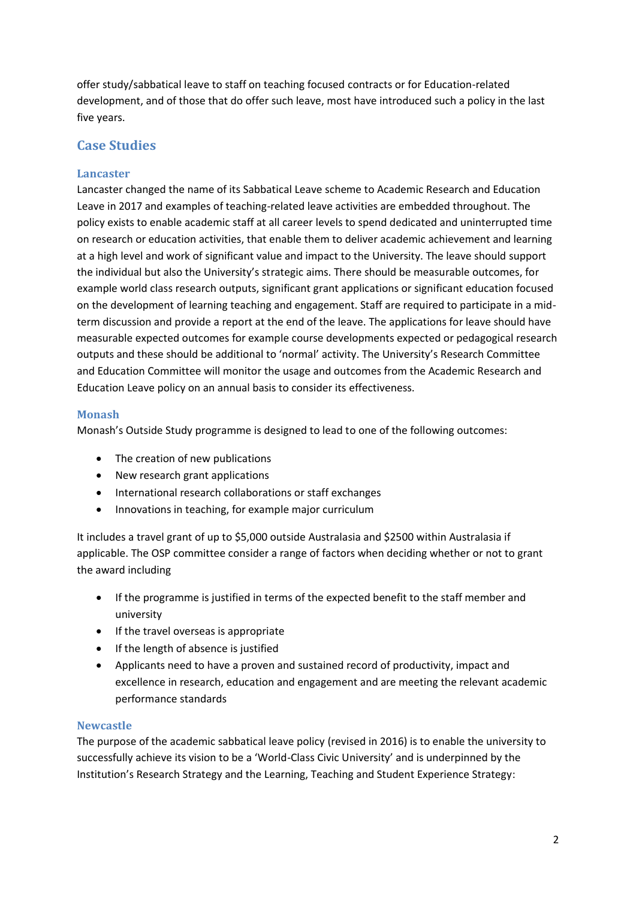offer study/sabbatical leave to staff on teaching focused contracts or for Education-related development, and of those that do offer such leave, most have introduced such a policy in the last five years.

# **Case Studies**

#### **Lancaster**

Lancaster changed the name of its Sabbatical Leave scheme to Academic Research and Education Leave in 2017 and examples of teaching-related leave activities are embedded throughout. The policy exists to enable academic staff at all career levels to spend dedicated and uninterrupted time on research or education activities, that enable them to deliver academic achievement and learning at a high level and work of significant value and impact to the University. The leave should support the individual but also the University's strategic aims. There should be measurable outcomes, for example world class research outputs, significant grant applications or significant education focused on the development of learning teaching and engagement. Staff are required to participate in a midterm discussion and provide a report at the end of the leave. The applications for leave should have measurable expected outcomes for example course developments expected or pedagogical research outputs and these should be additional to 'normal' activity. The University's Research Committee and Education Committee will monitor the usage and outcomes from the Academic Research and Education Leave policy on an annual basis to consider its effectiveness.

#### **Monash**

Monash's Outside Study programme is designed to lead to one of the following outcomes:

- The creation of new publications
- New research grant applications
- International research collaborations or staff exchanges
- Innovations in teaching, for example major curriculum

It includes a travel grant of up to \$5,000 outside Australasia and \$2500 within Australasia if applicable. The OSP committee consider a range of factors when deciding whether or not to grant the award including

- If the programme is justified in terms of the expected benefit to the staff member and university
- If the travel overseas is appropriate
- If the length of absence is justified
- Applicants need to have a proven and sustained record of productivity, impact and excellence in research, education and engagement and are meeting the relevant academic performance standards

#### **Newcastle**

The purpose of the academic sabbatical leave policy (revised in 2016) is to enable the university to successfully achieve its vision to be a 'World-Class Civic University' and is underpinned by the Institution's Research Strategy and the Learning, Teaching and Student Experience Strategy: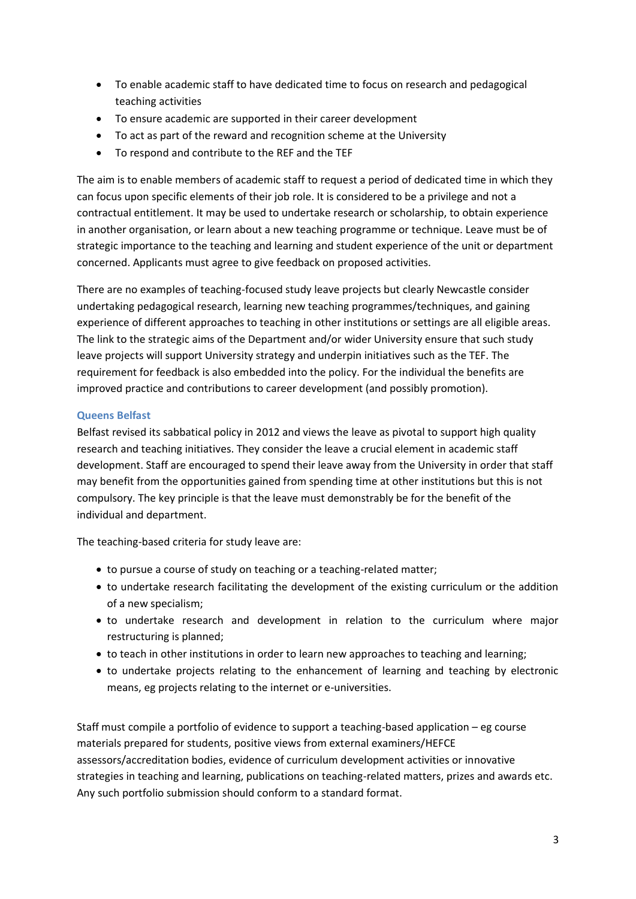- To enable academic staff to have dedicated time to focus on research and pedagogical teaching activities
- To ensure academic are supported in their career development
- To act as part of the reward and recognition scheme at the University
- To respond and contribute to the REF and the TEF

The aim is to enable members of academic staff to request a period of dedicated time in which they can focus upon specific elements of their job role. It is considered to be a privilege and not a contractual entitlement. It may be used to undertake research or scholarship, to obtain experience in another organisation, or learn about a new teaching programme or technique. Leave must be of strategic importance to the teaching and learning and student experience of the unit or department concerned. Applicants must agree to give feedback on proposed activities.

There are no examples of teaching-focused study leave projects but clearly Newcastle consider undertaking pedagogical research, learning new teaching programmes/techniques, and gaining experience of different approaches to teaching in other institutions or settings are all eligible areas. The link to the strategic aims of the Department and/or wider University ensure that such study leave projects will support University strategy and underpin initiatives such as the TEF. The requirement for feedback is also embedded into the policy. For the individual the benefits are improved practice and contributions to career development (and possibly promotion).

#### **Queens Belfast**

Belfast revised its sabbatical policy in 2012 and views the leave as pivotal to support high quality research and teaching initiatives. They consider the leave a crucial element in academic staff development. Staff are encouraged to spend their leave away from the University in order that staff may benefit from the opportunities gained from spending time at other institutions but this is not compulsory. The key principle is that the leave must demonstrably be for the benefit of the individual and department.

The teaching-based criteria for study leave are:

- to pursue a course of study on teaching or a teaching-related matter;
- to undertake research facilitating the development of the existing curriculum or the addition of a new specialism;
- to undertake research and development in relation to the curriculum where major restructuring is planned;
- to teach in other institutions in order to learn new approaches to teaching and learning;
- to undertake projects relating to the enhancement of learning and teaching by electronic means, eg projects relating to the internet or e-universities.

Staff must compile a portfolio of evidence to support a teaching-based application – eg course materials prepared for students, positive views from external examiners/HEFCE assessors/accreditation bodies, evidence of curriculum development activities or innovative strategies in teaching and learning, publications on teaching-related matters, prizes and awards etc. Any such portfolio submission should conform to a standard format.